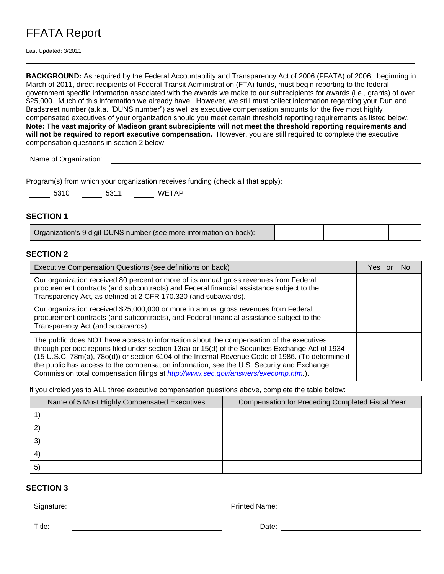# FFATA Report

Last Updated: 3/2011

**BACKGROUND:** As required by the Federal Accountability and Transparency Act of 2006 (FFATA) of 2006, beginning in March of 2011, direct recipients of Federal Transit Administration (FTA) funds, must begin reporting to the federal government specific information associated with the awards we make to our subrecipients for awards (i.e., grants) of over \$25,000. Much of this information we already have. However, we still must collect information regarding your Dun and Bradstreet number (a.k.a. "DUNS number") as well as executive compensation amounts for the five most highly compensated executives of your organization should you meet certain threshold reporting requirements as listed below. **Note: The vast majority of Madison grant subrecipients will not meet the threshold reporting requirements and will not be required to report executive compensation.** However, you are still required to complete the executive compensation questions in section 2 below.

Name of Organization:

| Program(s) from which your organization receives funding (check all that apply): |  |  |
|----------------------------------------------------------------------------------|--|--|
|                                                                                  |  |  |
|                                                                                  |  |  |
|                                                                                  |  |  |

| 5310 | 5311 | <b>WETAP</b> |
|------|------|--------------|
|      |      |              |

### **SECTION 1**

| Organization's 9 digit DUNS number (see more information on back): |  |  |  |  |  |  |  |  |
|--------------------------------------------------------------------|--|--|--|--|--|--|--|--|
|--------------------------------------------------------------------|--|--|--|--|--|--|--|--|

#### **SECTION 2**

| Executive Compensation Questions (see definitions on back)                                                                                                                                                                                                                                                                                                                                                                                                                            |  |  | <b>No</b> |
|---------------------------------------------------------------------------------------------------------------------------------------------------------------------------------------------------------------------------------------------------------------------------------------------------------------------------------------------------------------------------------------------------------------------------------------------------------------------------------------|--|--|-----------|
| Our organization received 80 percent or more of its annual gross revenues from Federal<br>procurement contracts (and subcontracts) and Federal financial assistance subject to the<br>Transparency Act, as defined at 2 CFR 170.320 (and subawards).                                                                                                                                                                                                                                  |  |  |           |
| Our organization received \$25,000,000 or more in annual gross revenues from Federal<br>procurement contracts (and subcontracts), and Federal financial assistance subject to the<br>Transparency Act (and subawards).                                                                                                                                                                                                                                                                |  |  |           |
| The public does NOT have access to information about the compensation of the executives<br>through periodic reports filed under section 13(a) or 15(d) of the Securities Exchange Act of 1934<br>(15 U.S.C. 78m(a), 78o(d)) or section 6104 of the Internal Revenue Code of 1986. (To determine if<br>the public has access to the compensation information, see the U.S. Security and Exchange<br>Commission total compensation filings at http://www.sec.gov/answers/execomp.htm.). |  |  |           |

If you circled yes to ALL three executive compensation questions above, complete the table below:

| Name of 5 Most Highly Compensated Executives | Compensation for Preceding Completed Fiscal Year |  |  |
|----------------------------------------------|--------------------------------------------------|--|--|
|                                              |                                                  |  |  |
| 2                                            |                                                  |  |  |
| $\mathcal{E}$                                |                                                  |  |  |
| 4                                            |                                                  |  |  |
| 5 <sup>2</sup>                               |                                                  |  |  |

## **SECTION 3**

Signature: **Signature: Printed Name: Printed Name: Printed Name: Printed Name: Printed Name: Printed Name: Printed Name: Printed Name: Printed Name: Printed Name: Printed Name: Printed Name: Print** 

Title: Date: